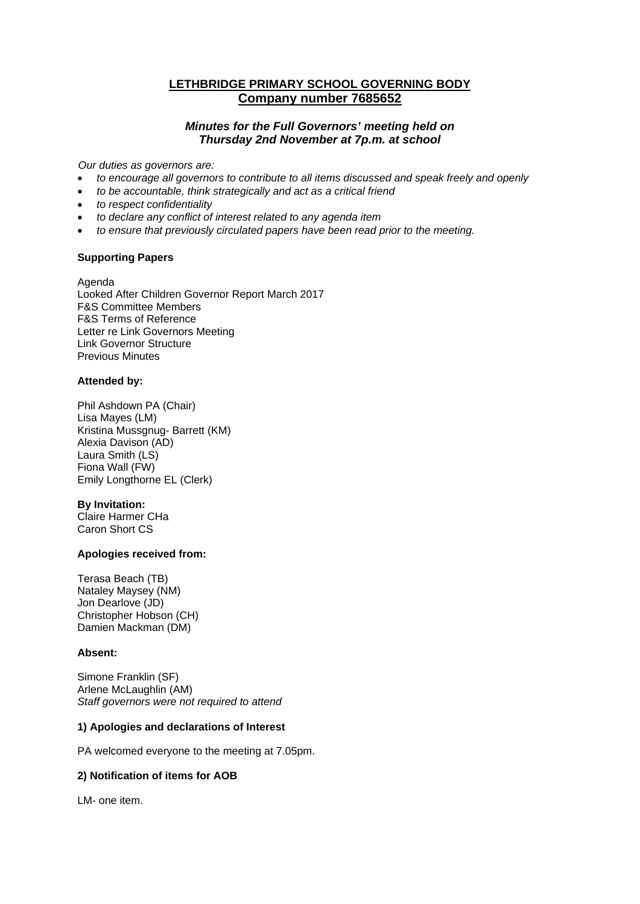# **LETHBRIDGE PRIMARY SCHOOL GOVERNING BODY Company number 7685652**

## *Minutes for the Full Governors' meeting held on Thursday 2nd November at 7p.m. at school*

*Our duties as governors are:* 

- *to encourage all governors to contribute to all items discussed and speak freely and openly*
- *to be accountable, think strategically and act as a critical friend*
- *to respect confidentiality*
- *to declare any conflict of interest related to any agenda item*
- *to ensure that previously circulated papers have been read prior to the meeting.*

## **Supporting Papers**

Agenda Looked After Children Governor Report March 2017 F&S Committee Members F&S Terms of Reference Letter re Link Governors Meeting Link Governor Structure Previous Minutes

## **Attended by:**

Phil Ashdown PA (Chair) Lisa Mayes (LM) Kristina Mussgnug- Barrett (KM) Alexia Davison (AD) Laura Smith (LS) Fiona Wall (FW) Emily Longthorne EL (Clerk)

## **By Invitation:**

Claire Harmer CHa Caron Short CS

## **Apologies received from:**

Terasa Beach (TB) Nataley Maysey (NM) Jon Dearlove (JD) Christopher Hobson (CH) Damien Mackman (DM)

## **Absent:**

Simone Franklin (SF) Arlene McLaughlin (AM) *Staff governors were not required to attend* 

## **1) Apologies and declarations of Interest**

PA welcomed everyone to the meeting at 7.05pm.

## **2) Notification of items for AOB**

LM- one item.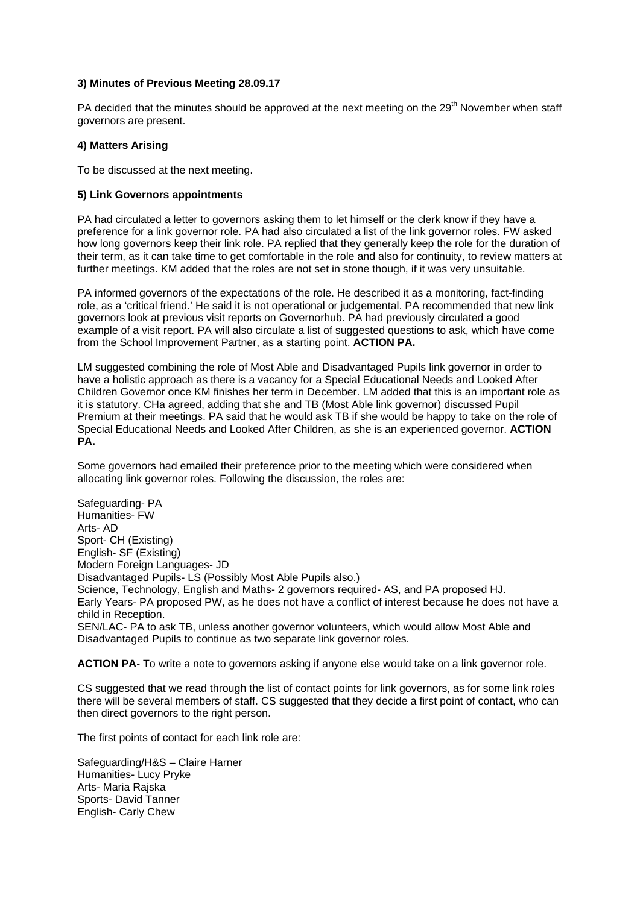### **3) Minutes of Previous Meeting 28.09.17**

PA decided that the minutes should be approved at the next meeting on the 29<sup>th</sup> November when staff governors are present.

### **4) Matters Arising**

To be discussed at the next meeting.

## **5) Link Governors appointments**

PA had circulated a letter to governors asking them to let himself or the clerk know if they have a preference for a link governor role. PA had also circulated a list of the link governor roles. FW asked how long governors keep their link role. PA replied that they generally keep the role for the duration of their term, as it can take time to get comfortable in the role and also for continuity, to review matters at further meetings. KM added that the roles are not set in stone though, if it was very unsuitable.

PA informed governors of the expectations of the role. He described it as a monitoring, fact-finding role, as a 'critical friend.' He said it is not operational or judgemental. PA recommended that new link governors look at previous visit reports on Governorhub. PA had previously circulated a good example of a visit report. PA will also circulate a list of suggested questions to ask, which have come from the School Improvement Partner, as a starting point. **ACTION PA.**

LM suggested combining the role of Most Able and Disadvantaged Pupils link governor in order to have a holistic approach as there is a vacancy for a Special Educational Needs and Looked After Children Governor once KM finishes her term in December. LM added that this is an important role as it is statutory. CHa agreed, adding that she and TB (Most Able link governor) discussed Pupil Premium at their meetings. PA said that he would ask TB if she would be happy to take on the role of Special Educational Needs and Looked After Children, as she is an experienced governor. **ACTION PA.**

Some governors had emailed their preference prior to the meeting which were considered when allocating link governor roles. Following the discussion, the roles are:

Safeguarding- PA Humanities- FW Arts- AD Sport- CH (Existing) English- SF (Existing) Modern Foreign Languages- JD Disadvantaged Pupils- LS (Possibly Most Able Pupils also.) Science, Technology, English and Maths- 2 governors required- AS, and PA proposed HJ. Early Years- PA proposed PW, as he does not have a conflict of interest because he does not have a child in Reception. SEN/LAC- PA to ask TB, unless another governor volunteers, which would allow Most Able and Disadvantaged Pupils to continue as two separate link governor roles.

**ACTION PA**- To write a note to governors asking if anyone else would take on a link governor role.

CS suggested that we read through the list of contact points for link governors, as for some link roles there will be several members of staff. CS suggested that they decide a first point of contact, who can then direct governors to the right person.

The first points of contact for each link role are:

Safeguarding/H&S – Claire Harner Humanities- Lucy Pryke Arts- Maria Rajska Sports- David Tanner English- Carly Chew